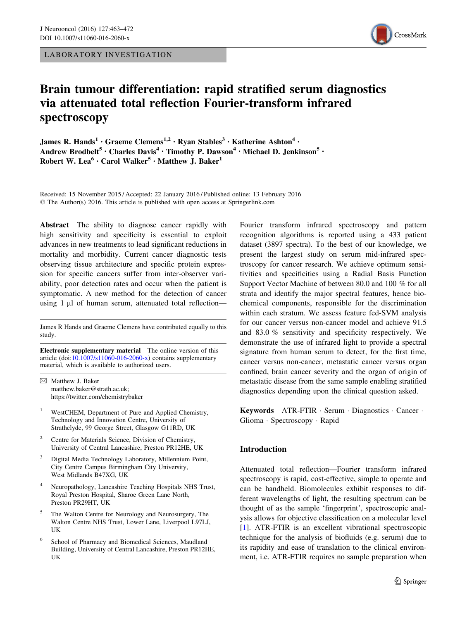LABORATORY INVESTIGATION



# Brain tumour differentiation: rapid stratified serum diagnostics via attenuated total reflection Fourier-transform infrared spectroscopy

James R. Hands<sup>1</sup> · Graeme Clemens<sup>1,2</sup> · Ryan Stables<sup>3</sup> · Katherine Ashton<sup>4</sup> · Andrew Brodbelt<sup>5</sup> • Charles Davis<sup>4</sup> • Timothy P. Dawson<sup>4</sup> • Michael D. Jenkinson<sup>5</sup> • Robert W. Lea<sup>6</sup> · Carol Walker<sup>5</sup> · Matthew J. Baker<sup>1</sup>

Received: 15 November 2015 / Accepted: 22 January 2016 / Published online: 13 February 2016 © The Author(s) 2016. This article is published with open access at Springerlink.com

Abstract The ability to diagnose cancer rapidly with high sensitivity and specificity is essential to exploit advances in new treatments to lead significant reductions in mortality and morbidity. Current cancer diagnostic tests observing tissue architecture and specific protein expression for specific cancers suffer from inter-observer variability, poor detection rates and occur when the patient is symptomatic. A new method for the detection of cancer using 1 µl of human serum, attenuated total reflection—

James R Hands and Graeme Clemens have contributed equally to this study.

Electronic supplementary material The online version of this article (doi:[10.1007/s11060-016-2060-x\)](http://dx.doi.org/10.1007/s11060-016-2060-x) contains supplementary material, which is available to authorized users.

- $\boxtimes$  Matthew J. Baker matthew.baker@strath.ac.uk; https://twitter.com/chemistrybaker
- WestCHEM, Department of Pure and Applied Chemistry, Technology and Innovation Centre, University of Strathclyde, 99 George Street, Glasgow G11RD, UK
- Centre for Materials Science, Division of Chemistry, University of Central Lancashire, Preston PR12HE, UK
- Digital Media Technology Laboratory, Millennium Point, City Centre Campus Birmingham City University, West Midlands B47XG, UK
- <sup>4</sup> Neuropathology, Lancashire Teaching Hospitals NHS Trust, Royal Preston Hospital, Sharoe Green Lane North, Preston PR29HT, UK
- The Walton Centre for Neurology and Neurosurgery, The Walton Centre NHS Trust, Lower Lane, Liverpool L97LJ, UK
- School of Pharmacy and Biomedical Sciences, Maudland Building, University of Central Lancashire, Preston PR12HE, UK

Fourier transform infrared spectroscopy and pattern recognition algorithms is reported using a 433 patient dataset (3897 spectra). To the best of our knowledge, we present the largest study on serum mid-infrared spectroscopy for cancer research. We achieve optimum sensitivities and specificities using a Radial Basis Function Support Vector Machine of between 80.0 and 100 % for all strata and identify the major spectral features, hence biochemical components, responsible for the discrimination within each stratum. We assess feature fed-SVM analysis for our cancer versus non-cancer model and achieve 91.5 and 83.0 % sensitivity and specificity respectively. We demonstrate the use of infrared light to provide a spectral signature from human serum to detect, for the first time, cancer versus non-cancer, metastatic cancer versus organ confined, brain cancer severity and the organ of origin of metastatic disease from the same sample enabling stratified diagnostics depending upon the clinical question asked.

Keywords ATR-FTIR · Serum · Diagnostics · Cancer · Glioma - Spectroscopy - Rapid

# Introduction

Attenuated total reflection—Fourier transform infrared spectroscopy is rapid, cost-effective, simple to operate and can be handheld. Biomolecules exhibit responses to different wavelengths of light, the resulting spectrum can be thought of as the sample 'fingerprint', spectroscopic analysis allows for objective classification on a molecular level [\[1](#page-8-0)]. ATR-FTIR is an excellent vibrational spectroscopic technique for the analysis of biofluids (e.g. serum) due to its rapidity and ease of translation to the clinical environment, i.e. ATR-FTIR requires no sample preparation when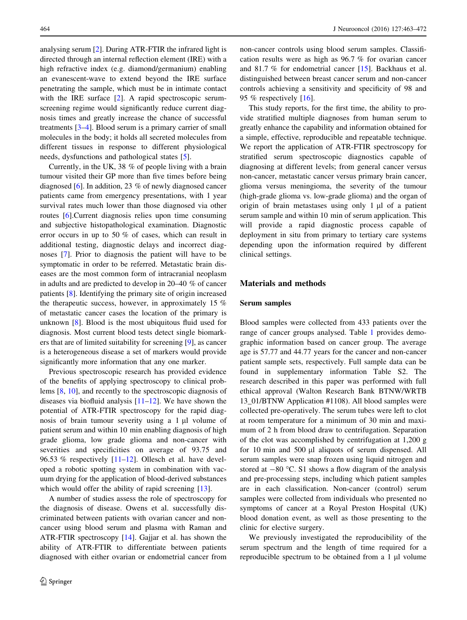analysing serum [[2\]](#page-8-0). During ATR-FTIR the infrared light is directed through an internal reflection element (IRE) with a high refractive index (e.g. diamond/germanium) enabling an evanescent-wave to extend beyond the IRE surface penetrating the sample, which must be in intimate contact with the IRE surface [[2\]](#page-8-0). A rapid spectroscopic serumscreening regime would significantly reduce current diagnosis times and greatly increase the chance of successful treatments [[3–4\]](#page-8-0). Blood serum is a primary carrier of small molecules in the body; it holds all secreted molecules from different tissues in response to different physiological needs, dysfunctions and pathological states [[5\]](#page-8-0).

Currently, in the UK, 38 % of people living with a brain tumour visited their GP more than five times before being diagnosed [\[6](#page-8-0)]. In addition, 23 % of newly diagnosed cancer patients came from emergency presentations, with 1 year survival rates much lower than those diagnosed via other routes [\[6](#page-8-0)].Current diagnosis relies upon time consuming and subjective histopathological examination. Diagnostic error occurs in up to 50 % of cases, which can result in additional testing, diagnostic delays and incorrect diagnoses [[7](#page-8-0)]. Prior to diagnosis the patient will have to be symptomatic in order to be referred. Metastatic brain diseases are the most common form of intracranial neoplasm in adults and are predicted to develop in 20–40 % of cancer patients [\[8](#page-8-0)]. Identifying the primary site of origin increased the therapeutic success, however, in approximately 15 % of metastatic cancer cases the location of the primary is unknown [\[8](#page-8-0)]. Blood is the most ubiquitous fluid used for diagnosis. Most current blood tests detect single biomarkers that are of limited suitability for screening [\[9](#page-8-0)], as cancer is a heterogeneous disease a set of markers would provide significantly more information that any one marker.

Previous spectroscopic research has provided evidence of the benefits of applying spectroscopy to clinical problems [\[8](#page-8-0), [10](#page-8-0)], and recently to the spectroscopic diagnosis of diseases via biofluid analysis  $[11-12]$ . We have shown the potential of ATR-FTIR spectroscopy for the rapid diagnosis of brain tumour severity using a  $1 \mu l$  volume of patient serum and within 10 min enabling diagnosis of high grade glioma, low grade glioma and non-cancer with severities and specificities on average of 93.75 and 96.53 % respectively [\[11–12](#page-8-0)]. Ollesch et al. have developed a robotic spotting system in combination with vacuum drying for the application of blood-derived substances which would offer the ability of rapid screening [[13\]](#page-8-0).

A number of studies assess the role of spectroscopy for the diagnosis of disease. Owens et al. successfully discriminated between patients with ovarian cancer and noncancer using blood serum and plasma with Raman and ATR-FTIR spectroscopy [[14](#page-8-0)]. Gajjar et al. has shown the ability of ATR-FTIR to differentiate between patients diagnosed with either ovarian or endometrial cancer from non-cancer controls using blood serum samples. Classification results were as high as 96.7 % for ovarian cancer and 81.7 % for endometrial cancer [[15\]](#page-8-0). Backhaus et al. distinguished between breast cancer serum and non-cancer controls achieving a sensitivity and specificity of 98 and 95 % respectively [\[16](#page-9-0)].

This study reports, for the first time, the ability to provide stratified multiple diagnoses from human serum to greatly enhance the capability and information obtained for a simple, effective, reproducible and repeatable technique. We report the application of ATR-FTIR spectroscopy for stratified serum spectroscopic diagnostics capable of diagnosing at different levels; from general cancer versus non-cancer, metastatic cancer versus primary brain cancer, glioma versus meningioma, the severity of the tumour (high-grade glioma vs. low-grade glioma) and the organ of origin of brain metastases using only  $1 \mu l$  of a patient serum sample and within 10 min of serum application. This will provide a rapid diagnostic process capable of deployment in situ from primary to tertiary care systems depending upon the information required by different clinical settings.

## Materials and methods

#### Serum samples

Blood samples were collected from 433 patients over the range of cancer groups analysed. Table [1](#page-2-0) provides demographic information based on cancer group. The average age is 57.77 and 44.77 years for the cancer and non-cancer patient sample sets, respectively. Full sample data can be found in supplementary information Table S2. The research described in this paper was performed with full ethical approval (Walton Research Bank BTNW/WRTB 13\_01/BTNW Application #1108). All blood samples were collected pre-operatively. The serum tubes were left to clot at room temperature for a minimum of 30 min and maximum of 2 h from blood draw to centrifugation. Separation of the clot was accomplished by centrifugation at 1,200 g for 10 min and 500 µl aliquots of serum dispensed. All serum samples were snap frozen using liquid nitrogen and stored at  $-80$  °C. S1 shows a flow diagram of the analysis and pre-processing steps, including which patient samples are in each classification. Non-cancer (control) serum samples were collected from individuals who presented no symptoms of cancer at a Royal Preston Hospital (UK) blood donation event, as well as those presenting to the clinic for elective surgery.

We previously investigated the reproducibility of the serum spectrum and the length of time required for a reproducible spectrum to be obtained from a 1 µl volume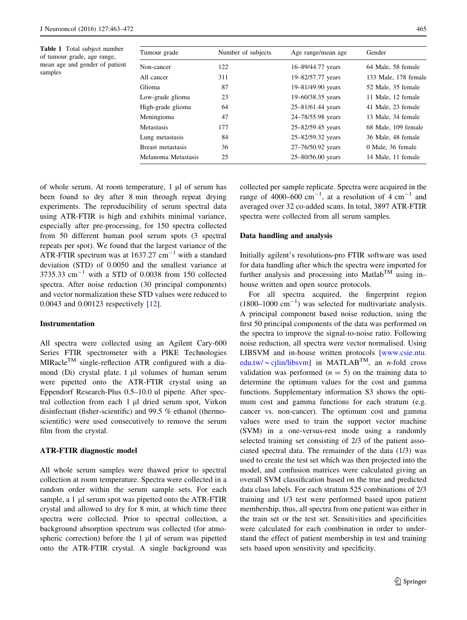<span id="page-2-0"></span>Table 1 Total subject number of tumour grade, age range, mean age and gender of patient samples

| Tumour grade        | Number of subjects | Age range/mean age | Gender               |  |  |
|---------------------|--------------------|--------------------|----------------------|--|--|
| Non-cancer          | 122                | 16–89/44.77 years  | 64 Male, 58 female   |  |  |
| All cancer          | 311                | 19-82/57.77 years  | 133 Male, 178 female |  |  |
| Glioma              | 87                 | 19-81/49.90 years  | 52 Male, 35 female   |  |  |
| Low-grade glioma    | 23                 | 19–60/38.35 years  | 11 Male, 12 female   |  |  |
| High-grade glioma   | 64                 | 25-81/61.44 years  | 41 Male, 23 female   |  |  |
| Meningioma          | 47                 | 24–78/55.98 years  | 13 Male, 34 female   |  |  |
| Metastasis          | 177                | 25-82/59.45 years  | 68 Male, 109 female  |  |  |
| Lung metastasis     | 84                 | 25-82/59.32 years  | 36 Male, 48 female   |  |  |
| Breast metastasis   | 36                 | 27-76/50.92 years  | 0 Male, 36 female    |  |  |
| Melanoma Metastasis | 25                 | 25-80/56.00 years  | 14 Male, 11 female   |  |  |

of whole serum. At room temperature,  $1 \mu l$  of serum has been found to dry after 8 min through repeat drying experiments. The reproducibility of serum spectral data using ATR-FTIR is high and exhibits minimal variance, especially after pre-processing, for 150 spectra collected from 50 different human pool serum spots (3 spectral repeats per spot). We found that the largest variance of the ATR-FTIR spectrum was at  $1637.27$  cm<sup>-1</sup> with a standard deviation (STD) of 0.0050 and the smallest variance at  $3735.33$  cm<sup>-1</sup> with a STD of 0.0038 from 150 collected spectra. After noise reduction (30 principal components) and vector normalization these STD values were reduced to 0.0043 and 0.00123 respectively [\[12](#page-8-0)].

#### Instrumentation

All spectra were collected using an Agilent Cary-600 Series FTIR spectrometer with a PIKE Technologies  $MIRacle<sup>TM</sup>$  single-reflection ATR configured with a diamond (Di) crystal plate.  $1 \mu l$  volumes of human serum were pipetted onto the ATR-FTIR crystal using an Eppendorf Research-Plus 0.5–10.0 ul pipette. After spectral collection from each  $1 \mu l$  dried serum spot, Virkon disinfectant (fisher-scientific) and 99.5 % ethanol (thermoscientific) were used consecutively to remove the serum film from the crystal.

#### ATR-FTIR diagnostic model

All whole serum samples were thawed prior to spectral collection at room temperature. Spectra were collected in a random order within the serum sample sets. For each sample, a 1 µl serum spot was pipetted onto the ATR-FTIR crystal and allowed to dry for 8 min, at which time three spectra were collected. Prior to spectral collection, a background absorption spectrum was collected (for atmospheric correction) before the  $1 \mu l$  of serum was pipetted onto the ATR-FTIR crystal. A single background was collected per sample replicate. Spectra were acquired in the range of 4000–600  $\text{cm}^{-1}$ , at a resolution of 4  $\text{cm}^{-1}$  and averaged over 32 co-added scans. In total, 3897 ATR-FTIR spectra were collected from all serum samples.

## Data handling and analysis

Initially agilent's resolutions-pro FTIR software was used for data handling after which the spectra were imported for further analysis and processing into Matlab<sup>TM</sup> using in– house written and open source protocols.

For all spectra acquired, the fingerprint region  $(1800-1000 \text{ cm}^{-1})$  was selected for multivariate analysis. A principal component based noise reduction, using the first 50 principal components of the data was performed on the spectra to improve the signal-to-noise ratio. Following noise reduction, all spectra were vector normalised. Using LIBSVM and in-house written protocols [[www.csie.ntu.](http://www.csie.ntu.edu.tw/%7ecjlin/libsvm) edu.tw/ $\sim$ [cjlin/libsvm\]](http://www.csie.ntu.edu.tw/%7ecjlin/libsvm) in MATLAB<sup>TM</sup>, an *n*-fold cross validation was performed  $(n = 5)$  on the training data to determine the optimum values for the cost and gamma functions. Supplementary information S3 shows the optimum cost and gamma functions for each stratum (e.g. cancer vs. non-cancer). The optimum cost and gamma values were used to train the support vector machine (SVM) in a one-versus-rest mode using a randomly selected training set consisting of 2/3 of the patient associated spectral data. The remainder of the data (1/3) was used to create the test set which was then projected into the model, and confusion matrices were calculated giving an overall SVM classification based on the true and predicted data class labels. For each stratum 525 combinations of 2/3 training and 1/3 test were performed based upon patient membership, thus, all spectra from one patient was either in the train set or the test set. Sensitivities and specificities were calculated for each combination in order to understand the effect of patient membership in test and training sets based upon sensitivity and specificity.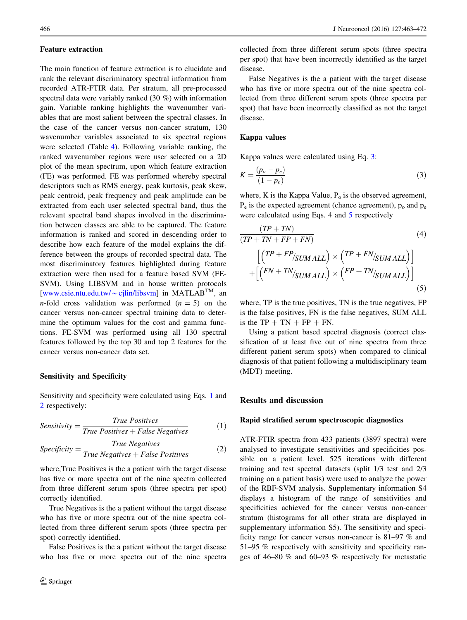#### Feature extraction

The main function of feature extraction is to elucidate and rank the relevant discriminatory spectral information from recorded ATR-FTIR data. Per stratum, all pre-processed spectral data were variably ranked (30 %) with information gain. Variable ranking highlights the wavenumber variables that are most salient between the spectral classes. In the case of the cancer versus non-cancer stratum, 130 wavenumber variables associated to six spectral regions were selected (Table [4](#page-6-0)). Following variable ranking, the ranked wavenumber regions were user selected on a 2D plot of the mean spectrum, upon which feature extraction (FE) was performed. FE was performed whereby spectral descriptors such as RMS energy, peak kurtosis, peak skew, peak centroid, peak frequency and peak amplitude can be extracted from each user selected spectral band, thus the relevant spectral band shapes involved in the discrimination between classes are able to be captured. The feature information is ranked and scored in descending order to describe how each feature of the model explains the difference between the groups of recorded spectral data. The most discriminatory features highlighted during feature extraction were then used for a feature based SVM (FE-SVM). Using LIBSVM and in house written protocols [\[www.csie.ntu.edu.tw/](http://www.csie.ntu.edu.tw/%7ecjlin/libsvm) $\sim$ cjlin/libsvm] in MATLAB<sup>TM</sup>, an *n*-fold cross validation was performed  $(n = 5)$  on the cancer versus non-cancer spectral training data to determine the optimum values for the cost and gamma functions. FE-SVM was performed using all 130 spectral features followed by the top 30 and top 2 features for the cancer versus non-cancer data set.

### Sensitivity and Specificity

Sensitivity and specificity were calculated using Eqs. 1 and 2 respectively:

$$
Sensitivity = \frac{True \ Positives}{True \ Positives + False \ Negatives}
$$
 (1)

$$
Specificity = \frac{True\ Negatives}{True\ Negatives + False\ Positives}
$$
 (2)

where,True Positives is the a patient with the target disease has five or more spectra out of the nine spectra collected from three different serum spots (three spectra per spot) correctly identified.

True Negatives is the a patient without the target disease who has five or more spectra out of the nine spectra collected from three different serum spots (three spectra per spot) correctly identified.

False Positives is the a patient without the target disease who has five or more spectra out of the nine spectra collected from three different serum spots (three spectra per spot) that have been incorrectly identified as the target disease.

False Negatives is the a patient with the target disease who has five or more spectra out of the nine spectra collected from three different serum spots (three spectra per spot) that have been incorrectly classified as not the target disease.

#### Kappa values

Kappa values were calculated using Eq. 3:

$$
K = \frac{(p_o - p_e)}{(1 - p_e)}\tag{3}
$$

where, K is the Kappa Value,  $P_0$  is the observed agreement,  $P_e$  is the expected agreement (chance agreement),  $p_o$  and  $p_e$ were calculated using Eqs. 4 and 5 respectively

$$
\frac{(TP + TN)}{(TP + TN + FP + FN)}
$$
\n
$$
\left[ \left( \frac{TP + FP_{\text{SUM ALL}}}{\text{SUM ALL}} \right) \times \left( \frac{TP + FN_{\text{SUM ALL}}}{\text{SUM ALL}} \right) \right]
$$
\n
$$
+ \left[ \left( \frac{FN + TN_{\text{SUM ALL}}}{\text{SUM ALL}} \right) \times \left( \frac{FP + TN_{\text{SUM ALL}}}{\text{SUM ALL}} \right) \right]
$$
\n(5)

where, TP is the true positives, TN is the true negatives, FP is the false positives, FN is the false negatives, SUM ALL is the  $TP + TN + FP + FN$ .

Using a patient based spectral diagnosis (correct classification of at least five out of nine spectra from three different patient serum spots) when compared to clinical diagnosis of that patient following a multidisciplinary team (MDT) meeting.

## Results and discussion

#### Rapid stratified serum spectroscopic diagnostics

ATR-FTIR spectra from 433 patients (3897 spectra) were analysed to investigate sensitivities and specificities possible on a patient level. 525 iterations with different training and test spectral datasets (split 1/3 test and 2/3 training on a patient basis) were used to analyze the power of the RBF-SVM analysis. Supplementary information S4 displays a histogram of the range of sensitivities and specificities achieved for the cancer versus non-cancer stratum (histograms for all other strata are displayed in supplementary information S5). The sensitivity and specificity range for cancer versus non-cancer is 81–97 % and 51–95 % respectively with sensitivity and specificity ranges of 46–80 % and 60–93 % respectively for metastatic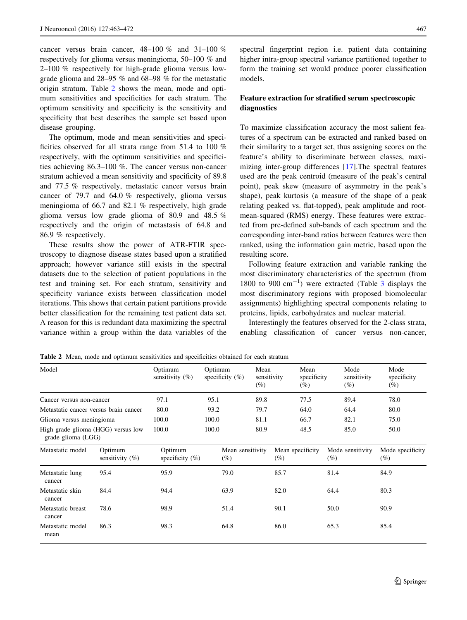cancer versus brain cancer, 48–100 % and 31–100 % respectively for glioma versus meningioma, 50–100 % and 2–100 % respectively for high-grade glioma versus lowgrade glioma and 28–95 % and 68–98 % for the metastatic origin stratum. Table 2 shows the mean, mode and optimum sensitivities and specificities for each stratum. The optimum sensitivity and specificity is the sensitivity and specificity that best describes the sample set based upon disease grouping.

The optimum, mode and mean sensitivities and specificities observed for all strata range from 51.4 to 100 % respectively, with the optimum sensitivities and specificities achieving 86.3–100 %. The cancer versus non-cancer stratum achieved a mean sensitivity and specificity of 89.8 and 77.5 % respectively, metastatic cancer versus brain cancer of 79.7 and 64.0 % respectively, glioma versus meningioma of 66.7 and 82.1 % respectively, high grade glioma versus low grade glioma of 80.9 and 48.5 % respectively and the origin of metastasis of 64.8 and 86.9 % respectively.

These results show the power of ATR-FTIR spectroscopy to diagnose disease states based upon a stratified approach; however variance still exists in the spectral datasets due to the selection of patient populations in the test and training set. For each stratum, sensitivity and specificity variance exists between classification model iterations. This shows that certain patient partitions provide better classification for the remaining test patient data set. A reason for this is redundant data maximizing the spectral variance within a group within the data variables of the spectral fingerprint region i.e. patient data containing higher intra-group spectral variance partitioned together to form the training set would produce poorer classification models.

# Feature extraction for stratified serum spectroscopic diagnostics

To maximize classification accuracy the most salient features of a spectrum can be extracted and ranked based on their similarity to a target set, thus assigning scores on the feature's ability to discriminate between classes, maximizing inter-group differences [[17\]](#page-9-0).The spectral features used are the peak centroid (measure of the peak's central point), peak skew (measure of asymmetry in the peak's shape), peak kurtosis (a measure of the shape of a peak relating peaked vs. flat-topped), peak amplitude and rootmean-squared (RMS) energy. These features were extracted from pre-defined sub-bands of each spectrum and the corresponding inter-band ratios between features were then ranked, using the information gain metric, based upon the resulting score.

Following feature extraction and variable ranking the most discriminatory characteristics of the spectrum (from 1800 to 900  $\text{cm}^{-1}$ ) were extracted (Table [3](#page-5-0) displays the most discriminatory regions with proposed biomolecular assignments) highlighting spectral components relating to proteins, lipids, carbohydrates and nuclear material.

Interestingly the features observed for the 2-class strata, enabling classification of cancer versus non-cancer,

Table 2 Mean, mode and optimum sensitivities and specificities obtained for each stratum

| Model                                                    |                               | Optimum<br>sensitivity $(\% )$ | Optimum<br>specificity $(\%)$ | Mean<br>sensitivity<br>$(\%)$ | Mean<br>$(\%)$             | specificity | Mode<br>sensitivity<br>(%) | Mode<br>specificity<br>$(\%)$ |
|----------------------------------------------------------|-------------------------------|--------------------------------|-------------------------------|-------------------------------|----------------------------|-------------|----------------------------|-------------------------------|
| Cancer versus non-cancer                                 |                               | 97.1                           | 95.1                          | 89.8                          | 77.5                       |             | 89.4                       | 78.0                          |
| Metastatic cancer versus brain cancer                    |                               | 80.0                           | 93.2                          | 79.7                          | 64.0                       |             | 64.4                       | 80.0                          |
| Glioma versus meningioma                                 |                               | 100.0                          | 100.0                         | 81.1                          | 66.7                       |             | 82.1                       | 75.0                          |
| High grade glioma (HGG) versus low<br>grade glioma (LGG) |                               | 100.0                          | 100.0                         | 80.9                          | 48.5                       |             | 85.0                       | 50.0                          |
| Metastatic model                                         | Optimum<br>sensitivity $(\%)$ | Optimum<br>specificity $(\%)$  | Mean sensitivity<br>(%)       |                               | Mean specificity<br>$(\%)$ | $(\%)$      | Mode sensitivity           | Mode specificity<br>$(\%)$    |
| Metastatic lung<br>cancer                                | 95.4                          | 95.9                           | 79.0                          |                               | 85.7                       | 81.4        |                            | 84.9                          |
| Metastatic skin<br>cancer                                | 84.4                          | 94.4                           | 63.9                          |                               | 82.0                       | 64.4        |                            | 80.3                          |
| Metastatic breast<br>cancer                              | 78.6                          | 98.9                           | 51.4                          |                               | 90.1                       | 50.0        |                            | 90.9                          |
| Metastatic model<br>mean                                 | 86.3                          | 98.3                           | 64.8                          |                               | 86.0                       | 65.3        |                            | 85.4                          |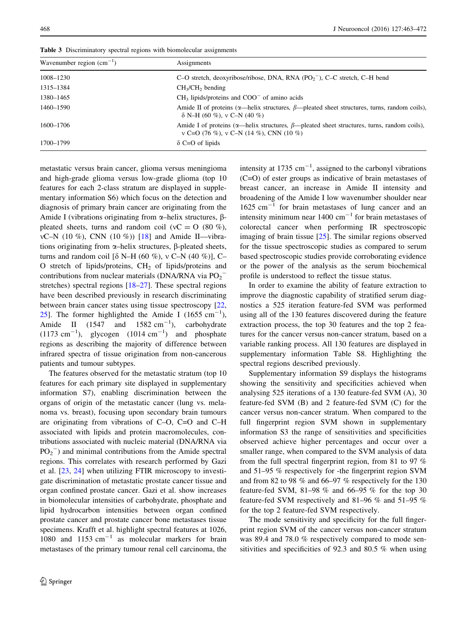| Wavenumber region $\text{(cm}^{-1})$ | Assignments                                                                                                                                          |
|--------------------------------------|------------------------------------------------------------------------------------------------------------------------------------------------------|
| 1008-1230                            | C-O stretch, deoxyribose/ribose, DNA, RNA $(PO2-)$ , C-C stretch, C-H bend                                                                           |
| 1315-1384                            | $CH3/CH2$ bending                                                                                                                                    |
| 1380-1465                            | $CH3$ lipids/proteins and $COO-$ of amino acids                                                                                                      |
| 1460–1590                            | Amide II of proteins ( $\alpha$ —helix structures, $\beta$ —pleated sheet structures, turns, random coils),<br>$\delta$ N–H (60 %), v C–N (40 %)     |
| 1600-1706                            | Amide I of proteins ( $\alpha$ —helix structures, $\beta$ —pleated sheet structures, turns, random coils),<br>v C=O (76 %), v C–N (14 %), CNN (10 %) |
| 1700–1799                            | $\delta$ C=O of lipids                                                                                                                               |

<span id="page-5-0"></span>Table 3 Discriminatory spectral regions with biomolecular assignments

metastatic versus brain cancer, glioma versus meningioma and high-grade glioma versus low-grade glioma (top 10 features for each 2-class stratum are displayed in supplementary information S6) which focus on the detection and diagnosis of primary brain cancer are originating from the Amide I (vibrations originating from  $\alpha$ -helix structures,  $\beta$ pleated sheets, turns and random coil ( $vC = O$  (80 %),  $vC-N$  (10 %), CNN (10 %)) [[18\]](#page-9-0) and Amide II—vibrations originating from  $\alpha$ -helix structures,  $\beta$ -pleated sheets, turns and random coil [ $\delta$  N–H (60 %), v C–N (40 %)], C– O stretch of lipids/proteins,  $CH<sub>2</sub>$  of lipids/proteins and contributions from nuclear materials (DNA/RNA via  $PO_2^$ stretches) spectral regions [[18–27\]](#page-9-0). These spectral regions have been described previously in research discriminating between brain cancer states using tissue spectroscopy [[22,](#page-9-0) [25](#page-9-0)]. The former highlighted the Amide I (1655 cm<sup>-1</sup>), Amide II  $(1547 \text{ and } 1582 \text{ cm}^{-1})$ , carbohydrate  $(1173 \text{ cm}^{-1})$ , glycogen  $(1014 \text{ cm}^{-1})$  and phosphate regions as describing the majority of difference between infrared spectra of tissue origination from non-cancerous patients and tumour subtypes.

The features observed for the metastatic stratum (top 10 features for each primary site displayed in supplementary information S7), enabling discrimination between the organs of origin of the metastatic cancer (lung vs. melanoma vs. breast), focusing upon secondary brain tumours are originating from vibrations of C–O, C=O and C–H associated with lipids and protein macromolecules, contributions associated with nucleic material (DNA/RNA via  $PO<sub>2</sub><sup>-</sup>$ ) and minimal contributions from the Amide spectral regions. This correlates with research performed by Gazi et al. [\[23](#page-9-0), [24](#page-9-0)] when utilizing FTIR microscopy to investigate discrimination of metastatic prostate cancer tissue and organ confined prostate cancer. Gazi et al. show increases in biomolecular intensities of carbohydrate, phosphate and lipid hydrocarbon intensities between organ confined prostate cancer and prostate cancer bone metastases tissue specimens. Krafft et al. highlight spectral features at 1026, 1080 and 1153  $cm^{-1}$  as molecular markers for brain metastases of the primary tumour renal cell carcinoma, the

intensity at 1735  $\text{cm}^{-1}$ , assigned to the carbonyl vibrations (C=O) of ester groups as indicative of brain metastases of breast cancer, an increase in Amide II intensity and broadening of the Amide I low wavenumber shoulder near  $1625$  cm<sup>-1</sup> for brain metastases of lung cancer and an intensity minimum near  $1400 \text{ cm}^{-1}$  for brain metastases of colorectal cancer when performing IR spectroscopic imaging of brain tissue [[25\]](#page-9-0). The similar regions observed for the tissue spectroscopic studies as compared to serum based spectroscopic studies provide corroborating evidence or the power of the analysis as the serum biochemical profile is understood to reflect the tissue status.

In order to examine the ability of feature extraction to improve the diagnostic capability of stratified serum diagnostics a 525 iteration feature-fed SVM was performed using all of the 130 features discovered during the feature extraction process, the top 30 features and the top 2 features for the cancer versus non-cancer stratum, based on a variable ranking process. All 130 features are displayed in supplementary information Table S8. Highlighting the spectral regions described previously.

Supplementary information S9 displays the histograms showing the sensitivity and specificities achieved when analysing 525 iterations of a 130 feature-fed SVM (A), 30 feature-fed SVM (B) and 2 feature-fed SVM (C) for the cancer versus non-cancer stratum. When compared to the full fingerprint region SVM shown in supplementary information S3 the range of sensitivities and specificities observed achieve higher percentages and occur over a smaller range, when compared to the SVM analysis of data from the full spectral fingerprint region, from 81 to 97 % and 51–95 % respectively for -the fingerprint region SVM and from 82 to 98 % and 66–97 % respectively for the 130 feature-fed SVM, 81–98 % and 66–95 % for the top 30 feature-fed SVM respectively and 81–96 % and 51–95 % for the top 2 feature-fed SVM respectively.

The mode sensitivity and specificity for the full fingerprint region SVM of the cancer versus non-cancer stratum was 89.4 and 78.0 % respectively compared to mode sensitivities and specificities of 92.3 and 80.5 % when using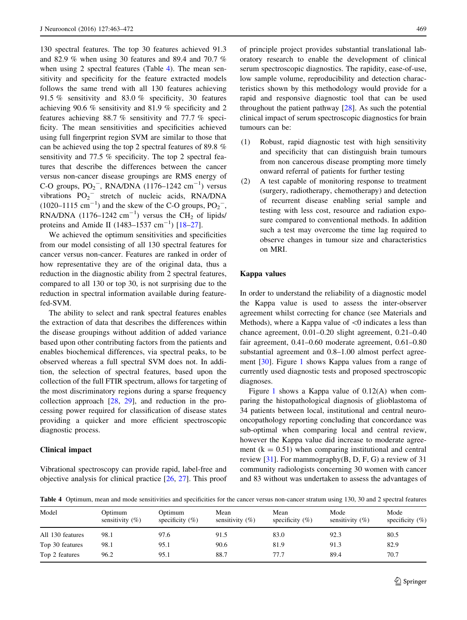<span id="page-6-0"></span>130 spectral features. The top 30 features achieved 91.3 and 82.9 % when using 30 features and 89.4 and 70.7 % when using 2 spectral features (Table 4). The mean sensitivity and specificity for the feature extracted models follows the same trend with all 130 features achieving 91.5 % sensitivity and 83.0 % specificity, 30 features achieving 90.6 % sensitivity and 81.9 % specificity and 2 features achieving 88.7 % sensitivity and 77.7 % specificity. The mean sensitivities and specificities achieved using full fingerprint region SVM are similar to those that can be achieved using the top 2 spectral features of 89.8 % sensitivity and 77.5 % specificity. The top 2 spectral features that describe the differences between the cancer versus non-cancer disease groupings are RMS energy of C-O groups,  $PO_2^-$ , RNA/DNA (1176–1242 cm<sup>-1</sup>) versus vibrations  $PO_2$ <sup>-</sup> stretch of nucleic acids, RNA/DNA  $(1020-1115 \text{ cm}^{-1})$  and the skew of the C-O groups,  $PO_2^-$ , RNA/DNA  $(1176-1242 \text{ cm}^{-1})$  versus the CH<sub>2</sub> of lipids/ proteins and Amide II (1483–1537 cm<sup>-1</sup>) [\[18–27](#page-9-0)].

We achieved the optimum sensitivities and specificities from our model consisting of all 130 spectral features for cancer versus non-cancer. Features are ranked in order of how representative they are of the original data, thus a reduction in the diagnostic ability from 2 spectral features, compared to all 130 or top 30, is not surprising due to the reduction in spectral information available during featurefed-SVM.

The ability to select and rank spectral features enables the extraction of data that describes the differences within the disease groupings without addition of added variance based upon other contributing factors from the patients and enables biochemical differences, via spectral peaks, to be observed whereas a full spectral SVM does not. In addition, the selection of spectral features, based upon the collection of the full FTIR spectrum, allows for targeting of the most discriminatory regions during a sparse frequency collection approach [[28,](#page-9-0) [29\]](#page-9-0), and reduction in the processing power required for classification of disease states providing a quicker and more efficient spectroscopic diagnostic process.

#### Clinical impact

Vibrational spectroscopy can provide rapid, label-free and objective analysis for clinical practice [\[26](#page-9-0), [27\]](#page-9-0). This proof of principle project provides substantial translational laboratory research to enable the development of clinical serum spectroscopic diagnostics. The rapidity, ease-of-use, low sample volume, reproducibility and detection characteristics shown by this methodology would provide for a rapid and responsive diagnostic tool that can be used throughout the patient pathway [\[28](#page-9-0)]. As such the potential clinical impact of serum spectroscopic diagnostics for brain tumours can be:

- (1) Robust, rapid diagnostic test with high sensitivity and specificity that can distinguish brain tumours from non cancerous disease prompting more timely onward referral of patients for further testing
- (2) A test capable of monitoring response to treatment (surgery, radiotherapy, chemotherapy) and detection of recurrent disease enabling serial sample and testing with less cost, resource and radiation exposure compared to conventional methods. In addition such a test may overcome the time lag required to observe changes in tumour size and characteristics on MRI.

#### Kappa values

In order to understand the reliability of a diagnostic model the Kappa value is used to assess the inter-observer agreement whilst correcting for chance (see Materials and Methods), where a Kappa value of  $\leq 0$  indicates a less than chance agreement, 0.01–0.20 slight agreement, 0.21–0.40 fair agreement, 0.41–0.60 moderate agreement, 0.61–0.80 substantial agreement and 0.8–1.00 almost perfect agreement [\[30](#page-9-0)]. Figure [1](#page-7-0) shows Kappa values from a range of currently used diagnostic tests and proposed spectroscopic diagnoses.

Figure [1](#page-7-0) shows a Kappa value of  $0.12(A)$  when comparing the histopathological diagnosis of glioblastoma of 34 patients between local, institutional and central neurooncopathology reporting concluding that concordance was sub-optimal when comparing local and central review, however the Kappa value did increase to moderate agreement  $(k = 0.51)$  when comparing institutional and central review  $[31]$  $[31]$ . For mammography $(B, D, F, G)$  a review of 31 community radiologists concerning 30 women with cancer and 83 without was undertaken to assess the advantages of

Table 4 Optimum, mean and mode sensitivities and specificities for the cancer versus non-cancer stratum using 130, 30 and 2 spectral features

| Model            | Optimum<br>sensitivity $(\% )$ | Optimum<br>specificity $(\%)$ | Mean<br>sensitivity $(\%)$ | Mean<br>specificity $(\%)$ | Mode<br>sensitivity $(\% )$ | Mode<br>specificity $(\%)$ |
|------------------|--------------------------------|-------------------------------|----------------------------|----------------------------|-----------------------------|----------------------------|
| All 130 features | 98.1                           | 97.6                          | 91.5                       | 83.0                       | 92.3                        | 80.5                       |
| Top 30 features  | 98.1                           | 95.1                          | 90.6                       | 81.9                       | 91.3                        | 82.9                       |
| Top 2 features   | 96.2                           | 95.1                          | 88.7                       | 77.7                       | 89.4                        | 70.7                       |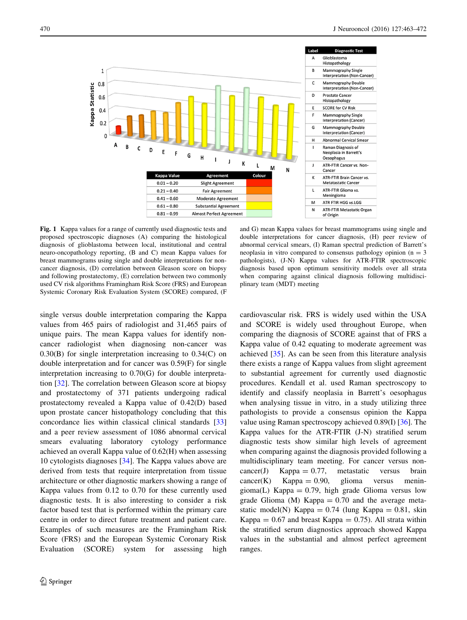<span id="page-7-0"></span>

Fig. 1 Kappa values for a range of currently used diagnostic tests and proposed spectroscopic diagnoses (A) comparing the histological diagnosis of glioblastoma between local, institutional and central neuro-oncopathology reporting, (B and C) mean Kappa values for breast mammograms using single and double interpretations for noncancer diagnosis, (D) correlation between Gleason score on biopsy and following prostatectomy, (E) correlation between two commonly used CV risk algorithms Framingham Risk Score (FRS) and European Systemic Coronary Risk Evaluation System (SCORE) compared, (F

and G) mean Kappa values for breast mammograms using single and double interpretations for cancer diagnosis, (H) peer review of abnormal cervical smears, (I) Raman spectral prediction of Barrett's neoplasia in vitro compared to consensus pathology opinion ( $n = 3$ ) pathologists), (J-N) Kappa values for ATR-FTIR spectroscopic diagnosis based upon optimum sensitivity models over all strata when comparing against clinical diagnosis following multidisciplinary team (MDT) meeting

single versus double interpretation comparing the Kappa values from 465 pairs of radiologist and 31,465 pairs of unique pairs. The mean Kappa values for identify noncancer radiologist when diagnosing non-cancer was 0.30(B) for single interpretation increasing to 0.34(C) on double interpretation and for cancer was 0.59(F) for single interpretation increasing to 0.70(G) for double interpretation [[32\]](#page-9-0). The correlation between Gleason score at biopsy and prostatectomy of 371 patients undergoing radical prostatectomy revealed a Kappa value of 0.42(D) based upon prostate cancer histopathology concluding that this concordance lies within classical clinical standards [[33\]](#page-9-0) and a peer review assessment of 1086 abnormal cervical smears evaluating laboratory cytology performance achieved an overall Kappa value of 0.62(H) when assessing 10 cytologists diagnoses [[34\]](#page-9-0). The Kappa values above are derived from tests that require interpretation from tissue architecture or other diagnostic markers showing a range of Kappa values from 0.12 to 0.70 for these currently used diagnostic tests. It is also interesting to consider a risk factor based test that is performed within the primary care centre in order to direct future treatment and patient care. Examples of such measures are the Framingham Risk Score (FRS) and the European Systemic Coronary Risk Evaluation (SCORE) system for assessing high

cardiovascular risk. FRS is widely used within the USA and SCORE is widely used throughout Europe, when comparing the diagnosis of SCORE against that of FRS a Kappa value of 0.42 equating to moderate agreement was achieved [\[35](#page-9-0)]. As can be seen from this literature analysis there exists a range of Kappa values from slight agreement to substantial agreement for currently used diagnostic procedures. Kendall et al. used Raman spectroscopy to identify and classify neoplasia in Barrett's oesophagus when analysing tissue in vitro, in a study utilizing three pathologists to provide a consensus opinion the Kappa value using Raman spectroscopy achieved 0.89(I) [[36](#page-9-0)]. The Kappa values for the ATR-FTIR (J-N) stratified serum diagnostic tests show similar high levels of agreement when comparing against the diagnosis provided following a multidisciplinary team meeting. For cancer versus non $cancer(J)$  Kappa = 0.77, metastatic versus brain  $cancer(K)$  Kappa = 0.90, glioma versus meningioma(L) Kappa =  $0.79$ , high grade Glioma versus low grade Glioma (M) Kappa  $= 0.70$  and the average metastatic model(N) Kappa =  $0.74$  (lung Kappa =  $0.81$ , skin Kappa =  $0.67$  and breast Kappa =  $0.75$ ). All strata within the stratified serum diagnostics approach showed Kappa values in the substantial and almost perfect agreement ranges.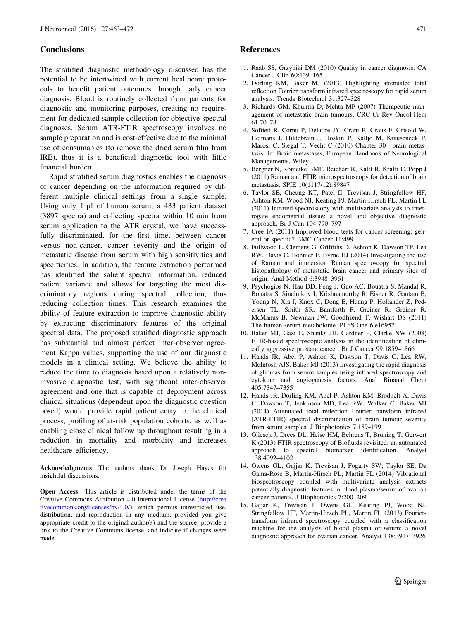## <span id="page-8-0"></span>**Conclusions**

The stratified diagnostic methodology discussed has the potential to be intertwined with current healthcare protocols to benefit patient outcomes through early cancer diagnosis. Blood is routinely collected from patients for diagnostic and monitoring purposes, creating no requirement for dedicated sample collection for objective spectral diagnoses. Serum ATR-FTIR spectroscopy involves no sample preparation and is cost-effective due to the minimal use of consumables (to remove the dried serum film from IRE), thus it is a beneficial diagnostic tool with little financial burden.

Rapid stratified serum diagnostics enables the diagnosis of cancer depending on the information required by different multiple clinical settings from a single sample. Using only 1 µl of human serum, a 433 patient dataset (3897 spectra) and collecting spectra within 10 min from serum application to the ATR crystal, we have successfully discriminated, for the first time, between cancer versus non-cancer, cancer severity and the origin of metastatic disease from serum with high sensitivities and specificities. In addition, the feature extraction performed has identified the salient spectral information, reduced patient variance and allows for targeting the most discriminatory regions during spectral collection, thus reducing collection times. This research examines the ability of feature extraction to improve diagnostic ability by extracting discriminatory features of the original spectral data. The proposed stratified diagnostic approach has substantial and almost perfect inter-observer agreement Kappa values, supporting the use of our diagnostic models in a clinical setting. We believe the ability to reduce the time to diagnosis based upon a relatively noninvasive diagnostic test, with significant inter-observer agreement and one that is capable of deployment across clinical situations (dependent upon the diagnostic question posed) would provide rapid patient entry to the clinical process, profiling of at-risk population cohorts, as well as enabling close clinical follow up throughout resulting in a reduction in mortality and morbidity and increases healthcare efficiency.

Acknowledgments The authors thank Dr Joseph Hayes for insightful discussions.

Open Access This article is distributed under the terms of the Creative Commons Attribution 4.0 International License ([http://crea](http://creativecommons.org/licenses/by/4.0/) [tivecommons.org/licenses/by/4.0/\)](http://creativecommons.org/licenses/by/4.0/), which permits unrestricted use, distribution, and reproduction in any medium, provided you give appropriate credit to the original author(s) and the source, provide a link to the Creative Commons license, and indicate if changes were made.

## References

- 1. Raab SS, Grzybiki DM (2010) Quality in cancer diagnosis. CA Cancer J Clin 60:139–165
- 2. Dorling KM, Baker MJ (2013) Highlighting attenuated total reflection Fourier transform infrared spectroscopy for rapid serum analysis. Trends Biotechnol 31:327–328
- 3. Richards GM, Khuntia D, Mehta MP (2007) Therapeutic management of metastatic brain tumours. CRC Cr Rev Oncol-Hem 61:70–78
- 4. Soffieti R, Cornu P, Delattre JY, Grant R, Graus F, Grisold W, Heimans J, Hildebrain J, Hoskin P, Kalljo M, Krauseneck P, Marosi C, Siegal T, Vecht C (2010) Chapter 30—brain metastasis. In: Brain metastases, European Handbook of Neurological Managements, Wiley
- 5. Bergner N, Romeike BMF, Reichart R, Kalff R, Krafft C, Popp J (2011) Raman and FTIR microspectroscopy for detection of brain metastasis. SPIE 10(1117/12):89847
- 6. Taylor SE, Cheung KT, Patel II, Trevisan J, Stringfellow HF, Ashton KM, Wood NJ, Keating PJ, Martin-Hirsch PL, Martin FL (2011) Infrared spectroscopy with multivariate analysis to interrogate endometrial tissue: a novel and objective diagnostic approach. Br J Can 104:790–797
- 7. Cree IA (2011) Improved blood tests for cancer screening: general or specific? BMC Cancer 11:499
- 8. Fullwood L, Clemens G, Griffiths D, Ashton K, Dawson TP, Lea RW, Davis C, Bonnier F, Byrne HJ (2014) Investigating the use of Raman and immersion Raman spectroscopy for spectral histopathology of metastatic brain cancer and primary sites of origin. Anal Method 6:3948–3961
- 9. Psychogios N, Hau DD, Peng J, Guo AC, Bouatra S, Mandal R, Bouatra S, Sinelnikov I, Krishnamurthy R, Eisner R, Gautam B, Young N, Xia J, Knox C, Dong E, Huang P, Hollander Z, Pedersen TL, Smith SR, Bamforth F, Greiner R, Greiner R, McManus B, Newman JW, Goodfriend T, Wishart DS (2011) The human serum metabolome. PLoS One 6:e16957
- 10. Baker MJ, Gazi E, Shanks JH, Gardner P, Clarke NW (2008) FTIR-based spectroscopic analysis in the identification of clinically aggressive prostate cancer. Br J Cancer 99:1859–1866
- 11. Hands JR, Abel P, Ashton K, Dawson T, Davis C, Lea RW, McIntosh AJS, Baker MJ (2013) Investigating the rapid diagnosis of gliomas from serum samples using infrared spectroscopy and cytokine and angiogenesis factors. Anal Bioanal Chem 405:7347–7355
- 12. Hands JR, Dorling KM, Abel P, Ashton KM, Brodbelt A, Davis C, Dawson T, Jenkinson MD, Lea RW, Walker C, Baker MJ (2014) Attenuated total reflection Fourier transform infrared (ATR-FTIR) spectral discrimination of brain tumour severity from serum samples. J Biophotonics 7:189–199
- 13. Ollesch J, Drees DL, Heise HM, Behrens T, Bruning T, Gerwert K (2013) FTIR spectroscopy of Biofluids revisited: an automated approach to spectral biomarker identification. Analyst 138:4092–4102
- 14. Owens GL, Gajjar K, Trevisan J, Fogarty SW, Taylor SE, Da Gama-Rose B, Martin-Hirsch PL, Martin FL (2014) Vibrational biospectroscopy coupled with multivariate analysis extracts potentially diagnostic features in blood plasma/serum of ovarian cancer patients. J Biophotonics 7:200–209
- 15. Gajjar K, Trevisan J, Owens GL, Keating PJ, Wood NJ, Stringfellow HF, Martin-Hirsch PL, Martin FL (2013) Fouriertransform infrared spectroscopy coupled with a classification machine for the analysis of blood plasma or serum: a novel diagnostic approach for ovarian cancer. Analyst 138:3917–3926